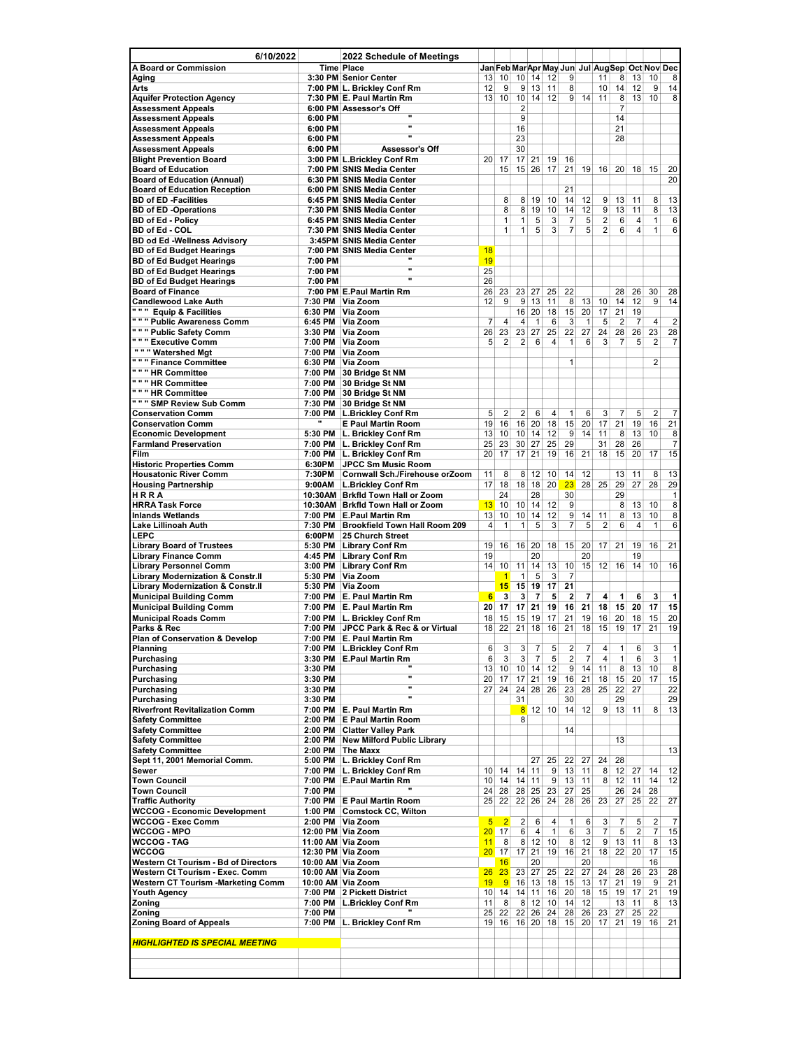| 6/10/2022                                                     |                    | 2022 Schedule of Meetings                                |                      |                      |                      |                |                   |                                  |                                               |                     |                |                                  |                                  |                      |
|---------------------------------------------------------------|--------------------|----------------------------------------------------------|----------------------|----------------------|----------------------|----------------|-------------------|----------------------------------|-----------------------------------------------|---------------------|----------------|----------------------------------|----------------------------------|----------------------|
| <b>A Board or Commission</b>                                  |                    | <b>Time Place</b>                                        |                      |                      |                      |                |                   |                                  | Jan Feb MarApr May Jun Jul AugSep Oct Nov Dec |                     |                |                                  |                                  |                      |
| Aging                                                         |                    | 3:30 PM Senior Center                                    | 13<br>12             | 10<br>9              | 10 <sup>1</sup><br>9 | 14<br>13       | 12<br>11          | 9<br>8                           |                                               | 11                  | 8<br>14        | 13<br>12                         | 10<br>9                          | 8<br>14              |
| Arts<br><b>Aquifer Protection Agency</b>                      |                    | 7:00 PM L. Brickley Conf Rm<br>7:30 PM E. Paul Martin Rm | 13                   | 10                   | 10 <sup>1</sup>      | 14             | 12                | 9                                | 14                                            | 10<br>11            | 8              | 13                               | 10                               | 8                    |
| <b>Assessment Appeals</b>                                     |                    | 6:00 PM Assessor's Off                                   |                      |                      | 2                    |                |                   |                                  |                                               |                     | $\overline{7}$ |                                  |                                  |                      |
| <b>Assessment Appeals</b>                                     | 6:00 PM            |                                                          |                      |                      | 9                    |                |                   |                                  |                                               |                     | 14             |                                  |                                  |                      |
| <b>Assessment Appeals</b>                                     | 6:00 PM            | w                                                        |                      |                      | 16                   |                |                   |                                  |                                               |                     | 21             |                                  |                                  |                      |
| <b>Assessment Appeals</b>                                     | 6:00 PM            | u                                                        |                      |                      | 23                   |                |                   |                                  |                                               |                     | 28             |                                  |                                  |                      |
| <b>Assessment Appeals</b><br><b>Blight Prevention Board</b>   | 6:00 PM            | Assessor's Off<br>3:00 PM L.Brickley Conf Rm             | 20                   | 17                   | 30<br>17             | 21             | 19                | 16                               |                                               |                     |                |                                  |                                  |                      |
| <b>Board of Education</b>                                     |                    | 7:00 PM SNIS Media Center                                |                      | 15                   | 15                   | 26             | 17                | 21                               | 19                                            | 16                  | 20             | 18                               | 15                               | 20                   |
| <b>Board of Education (Annual)</b>                            |                    | 6:30 PM SNIS Media Center                                |                      |                      |                      |                |                   |                                  |                                               |                     |                |                                  |                                  | 20                   |
| <b>Board of Education Reception</b>                           |                    | 6:00 PM SNIS Media Center                                |                      |                      |                      |                |                   | 21                               |                                               |                     |                |                                  |                                  |                      |
| <b>BD of ED -Facilities</b>                                   |                    | 6:45 PM SNIS Media Center                                |                      | 8                    | 8                    | 19             | 10                | 14                               | 12                                            | 9                   | 13             | 11                               | 8                                | 13                   |
| <b>BD of ED -Operations</b>                                   |                    | 7:30 PM SNIS Media Center                                |                      | 8                    | 8                    | 19             | 10                | 14                               | 12                                            | 9                   | 13             | 11                               | 8                                | 13                   |
| <b>BD of Ed - Policy</b><br>BD of Ed - COL                    |                    | 6:45 PM SNIS Media Center<br>7:30 PM SNIS Media Center   |                      | 1<br>1               | 1<br>$\mathbf{1}$    | 5<br>5         | 3<br>3            | $\overline{7}$<br>$\overline{7}$ | 5<br>5                                        | $\overline{2}$<br>2 | 6<br>6         | $\overline{4}$<br>$\overline{4}$ | 1<br>1                           | 6<br>6               |
| <b>BD od Ed -Wellness Advisory</b>                            |                    | 3:45PM SNIS Media Center                                 |                      |                      |                      |                |                   |                                  |                                               |                     |                |                                  |                                  |                      |
| <b>BD of Ed Budget Hearings</b>                               |                    | 7:00 PM SNIS Media Center                                | 18                   |                      |                      |                |                   |                                  |                                               |                     |                |                                  |                                  |                      |
| <b>BD of Ed Budget Hearings</b>                               | 7:00 PM            |                                                          | 19                   |                      |                      |                |                   |                                  |                                               |                     |                |                                  |                                  |                      |
| <b>BD of Ed Budget Hearings</b>                               | 7:00 PM            | w<br>n                                                   | 25                   |                      |                      |                |                   |                                  |                                               |                     |                |                                  |                                  |                      |
| <b>BD of Ed Budget Hearings</b>                               | 7:00 PM            |                                                          | 26                   |                      |                      |                |                   |                                  |                                               |                     |                |                                  |                                  |                      |
| <b>Board of Finance</b><br><b>Candlewood Lake Auth</b>        | 7:30 PM            | 7:00 PM E.Paul Martin Rm<br>Via Zoom                     | 26<br>12             | 23<br>9              | 23<br>9              | 27<br>13       | 25<br>11          | 22<br>8                          | 13                                            | 10                  | 28<br>14       | 26<br>12                         | 30<br>9                          | 28<br>14             |
| """ Equip & Facilities                                        | 6:30 PM            | Via Zoom                                                 |                      |                      | 16                   | 20             | 18                | 15                               | 20                                            | 17                  | 21             | 19                               |                                  |                      |
| """ Public Awareness Comm                                     | 6:45 PM            | Via Zoom                                                 | 7                    | 4                    | 4                    | 1              | 6                 | 3                                | $\mathbf{1}$                                  | 5                   | 2              | 7                                | $\overline{4}$                   | $\overline{2}$       |
| " " " Public Safety Comm                                      | 3:30 PM            | Via Zoom                                                 | 26                   | 23                   | 23                   | 27             | 25                | 22                               | 27                                            | 24                  | 28             | 26                               | 23                               | 28                   |
| " " " Executive Comm                                          | 7:00 PM            | Via Zoom                                                 | 5                    | $\overline{2}$       | $\overline{2}$       | 6              | 4                 | 1                                | 6                                             | 3                   | $\overline{7}$ | 5                                | $\overline{2}$                   | 7                    |
| """ Watershed Mgt                                             | 7:00 PM            | Via Zoom                                                 |                      |                      |                      |                |                   |                                  |                                               |                     |                |                                  |                                  |                      |
| " " " Finance Committee<br>" " " HR Committee                 | 6:30 PM<br>7:00 PM | Via Zoom<br>30 Bridge St NM                              |                      |                      |                      |                |                   | $\mathbf{1}$                     |                                               |                     |                |                                  | $\overline{2}$                   |                      |
| " " " HR Committee                                            | 7:00 PM            | 30 Bridge St NM                                          |                      |                      |                      |                |                   |                                  |                                               |                     |                |                                  |                                  |                      |
| " " " HR Committee                                            | 7:00 PM            | 30 Bridge St NM                                          |                      |                      |                      |                |                   |                                  |                                               |                     |                |                                  |                                  |                      |
| " " " SMP Review Sub Comm                                     | 7:30 PM            | 30 Bridge St NM                                          |                      |                      |                      |                |                   |                                  |                                               |                     |                |                                  |                                  |                      |
| <b>Conservation Comm</b>                                      | 7:00 PM            | <b>L.Brickley Conf Rm</b>                                | 5                    | $\overline{2}$       | $\overline{2}$       | 6              | 4                 | 1                                | 6                                             | 3                   | 7              | 5                                | $\overline{2}$                   | $\overline{7}$       |
| <b>Conservation Comm</b>                                      |                    | <b>E Paul Martin Room</b>                                | 19                   | 16                   | 16                   | 20             | 18                | 15                               | 20                                            | 17                  | 21             | 19                               | 16                               | 21                   |
| <b>Economic Development</b>                                   | 5:30 PM            | L. Brickley Conf Rm                                      | 13                   | 10                   | 10                   | 14             | 12                | 9                                | 14                                            | 11                  | 8              | 13                               | 10                               | 8                    |
| <b>Farmland Preservation</b>                                  |                    | 7:00 PM L. Brickley Conf Rm                              | 25                   | 23                   | 30                   | 27             | 25                | 29                               |                                               | 31                  | 28             | 26                               |                                  | $\overline{7}$       |
| Film<br><b>Historic Properties Comm</b>                       | 7:00 PM<br>6:30PM  | L. Brickley Conf Rm<br>JPCC Sm Music Room                | 20                   | 17                   |                      | $17$ 21        | 19                | 16                               | 21                                            | 18                  | 15             | 20                               | 17                               | 15                   |
| <b>Housatonic River Comm</b>                                  | 7:30PM             | Cornwall Sch./Firehouse orZoom                           | 11                   | 8                    | 8                    | 12             | 10                | 14                               | 12                                            |                     | 13             | 11                               | 8                                | 13                   |
| <b>Housing Partnership</b>                                    | 9:00AM             | <b>L.Brickley Conf Rm</b>                                | 17                   | 18                   | 18                   | 18             | 20                | 23                               | 28                                            | 25                  | 29             | 27                               | 28                               | 29                   |
| HRRA                                                          |                    | 10:30AM Brkfld Town Hall or Zoom                         |                      | 24                   |                      | 28             |                   | 30                               |                                               |                     | 29             |                                  |                                  | 1                    |
| <b>HRRA Task Force</b>                                        |                    | 10:30AM Brkfld Town Hall or Zoom                         | 13                   | 10                   | 10                   | 14             | 12                | 9                                |                                               |                     | 8              | 13                               | 10                               | 8                    |
| <b>Inlands Wetlands</b>                                       |                    | 7:00 PM E.Paul Martin Rm                                 | 13                   | 10                   | 10                   | 14             | 12                | 9                                | 14                                            | 11                  | 8              | 13                               | 10                               | 8                    |
| Lake Lillinoah Auth<br><b>LEPC</b>                            | 7:30 PM<br>6:00PM  | <b>Brookfield Town Hall Room 209</b><br>25 Church Street | 4                    | 1                    | 1                    | 5              | 3                 | $\overline{7}$                   | 5                                             | $\overline{2}$      | 6              | $\overline{4}$                   | 1                                | 6                    |
| <b>Library Board of Trustees</b>                              | 5:30 PM            | <b>Library Conf Rm</b>                                   | 19                   | 16                   | 16                   | 20             | 18                | 15                               | 20                                            | 17                  | 21             | 19                               | 16                               | 21                   |
| <b>Library Finance Comm</b>                                   | 4:45 PM            | <b>Library Conf Rm</b>                                   | 19                   |                      |                      | 20             |                   |                                  | 20                                            |                     |                | 19                               |                                  |                      |
| <b>Library Personnel Comm</b>                                 | 3:00 PM            | <b>Library Conf Rm</b>                                   | 14                   | 10                   | 11                   | 14             | 13                | 10                               | 15                                            | 12                  | 16             | 14                               | 10                               | 16                   |
| <b>Library Modernization &amp; Constr.II</b>                  | 5:30 PM            | Via Zoom                                                 |                      | $\mathbf{1}$         | 1                    | 5              | 3                 | $\overline{7}$                   |                                               |                     |                |                                  |                                  |                      |
| <b>Library Modernization &amp; Constr.II</b>                  | 5:30 PM            | Via Zoom                                                 |                      | 15                   | 15                   | 19             | 17                | 21                               |                                               |                     |                |                                  |                                  |                      |
| <b>Municipal Building Comm</b>                                | 7:00 PM            | E. Paul Martin Rm                                        | 6                    | 3                    | 3                    | $\overline{7}$ | 5                 | $\overline{2}$                   | 7                                             | 4                   | 1              | 6                                | 3                                | 1                    |
| <b>Municipal Building Comm</b><br><b>Municipal Roads Comm</b> | 7:00 PM<br>7:00 PM | E. Paul Martin Rm<br>L. Brickley Conf Rm                 | 20<br>18             | 17<br>15             | 17<br>15             | 21<br>19       | 19<br>17          | 16<br>21                         | 21<br>19                                      | 18<br>16            | 15<br>20       | 20<br>18                         | 17<br>15                         | 15<br>20             |
| Parks & Rec                                                   | 7:00 PM            | JPCC Park & Rec & or Virtual                             | 18 <sup>1</sup>      | 22                   | 21                   | 18             | 16                | 21                               | 18                                            | 15                  | 19             | 17                               | 21                               | 19                   |
| Plan of Conservation & Develop                                |                    | 7:00 PM E. Paul Martin Rm                                |                      |                      |                      |                |                   |                                  |                                               |                     |                |                                  |                                  |                      |
| Planning                                                      | 7:00 PM            | <b>L.Brickley Conf Rm</b>                                | 6                    | 3                    | 3                    | 7              | 5                 | 2                                | 7                                             | 4                   | 1              | 6                                | 3                                | 1                    |
| Purchasing                                                    | 3:30 PM            | <b>E.Paul Martin Rm</b>                                  | 6                    | 3                    | 3                    | 7              | 5                 | 2                                | 7                                             | 4                   | 1              | 6                                | 3                                | $\overline{1}$       |
| Purchasing                                                    | 3:30 PM            | w                                                        | 13                   | 10                   | 10 <sup>1</sup>      | 14             | 12                | 9                                | 14                                            | 11                  | 8              | 13                               | 10                               | $\bf 8$              |
| Purchasing<br>Purchasing                                      | 3:30 PM<br>3:30 PM |                                                          | 20<br>27             | 17<br>24             | 17<br>24             | 21<br>28       | 19<br>26          | 16<br>23                         | 21<br>28                                      | 18<br>25            | 15<br>22       | 20<br>27                         | 17                               | 15<br>22             |
| Purchasing                                                    | 3:30 PM            | .,                                                       |                      |                      | 31                   |                |                   | 30                               |                                               |                     | 29             |                                  |                                  | 29                   |
| <b>Riverfront Revitalization Comm</b>                         |                    | 7:00 PM E. Paul Martin Rm                                |                      |                      | 8 <sup>2</sup>       | 12             | 10                | 14                               | 12                                            | 9                   | 13             | 11                               | 8                                | 13                   |
| <b>Safety Committee</b>                                       | 2:00 PM            | <b>E Paul Martin Room</b>                                |                      |                      | 8                    |                |                   |                                  |                                               |                     |                |                                  |                                  |                      |
| <b>Safety Committee</b>                                       |                    | 2:00 PM Clatter Valley Park                              |                      |                      |                      |                |                   | 14                               |                                               |                     |                |                                  |                                  |                      |
| <b>Safety Committee</b>                                       |                    | 2:00 PM New Milford Public Library                       |                      |                      |                      |                |                   |                                  |                                               |                     | 13             |                                  |                                  |                      |
| <b>Safety Committee</b><br>Sept 11, 2001 Memorial Comm.       |                    | 2:00 PM The Maxx<br>5:00 PM L. Brickley Conf Rm          |                      |                      |                      | 27             | 25                | 22                               | 27                                            | 24                  | 28             |                                  |                                  | 13                   |
| Sewer                                                         | 7:00 PM            | L. Brickley Conf Rm                                      | 10                   | 14                   | 14                   | 11             | 9                 | 13                               | 11                                            | 8                   | 12             | 27                               | 14                               | 12                   |
| <b>Town Council</b>                                           |                    | 7:00 PM E.Paul Martin Rm                                 | 10                   | 14                   | 14                   | 11             | 9                 | 13                               | 11                                            | 8                   | 12             | 11                               | 14                               | 12                   |
| <b>Town Council</b>                                           | 7:00 PM            |                                                          | 24                   | 28                   | 28                   | 25             | 23                | 27                               | 25                                            |                     | 26             | 24                               | 28                               |                      |
| <b>Traffic Authority</b>                                      |                    | 7:00 PM E Paul Martin Room                               | 25                   | 22                   | 22                   | 26             | 24                | 28                               | 26                                            | 23                  | 27             | 25                               | 22                               | 27                   |
| <b>WCCOG - Economic Development</b>                           | 1:00 PM            | <b>Comstock CC, Wilton</b>                               |                      |                      |                      |                |                   |                                  |                                               |                     |                |                                  |                                  |                      |
| WCCOG - Exec Comm<br><b>WCCOG - MPO</b>                       |                    | 2:00 PM Via Zoom<br>12:00 PM Via Zoom                    | 5<br>20 <sub>2</sub> | $\overline{2}$<br>17 | $\overline{2}$<br>6  | 6<br>4         | 4<br>$\mathbf{1}$ | 1<br>6                           | 6<br>3                                        | 3<br>7              | 7<br>5         | 5<br>$\overline{2}$              | $\overline{2}$<br>$\overline{7}$ | $\overline{7}$<br>15 |
| WCCOG - TAG                                                   |                    | 11:00 AM Via Zoom                                        | 11                   | 8                    | 8                    | 12             | 10                | 8                                | 12                                            | 9                   | 13             | 11                               | 8                                | 13                   |
| <b>WCCOG</b>                                                  |                    | 12:30 PM Via Zoom                                        | 20 <sub>2</sub>      | 17                   | 17                   | 21             | 19                | 16                               | 21                                            | 18                  | 22             | 20 <sup>2</sup>                  | 17                               | 15                   |
| Western Ct Tourism - Bd of Directors                          |                    | 10:00 AM Via Zoom                                        |                      | 16                   |                      | 20             |                   |                                  | 20                                            |                     |                |                                  | 16                               |                      |
| Western Ct Tourism - Exec. Comm                               |                    | 10:00 AM Via Zoom                                        | 26 <sup>2</sup>      | 23                   | 23                   | 27             | 25                | 22                               | 27                                            | 24                  | 28             | 26                               | 23                               | 28                   |
| Western CT Tourism -Marketing Comm                            |                    | 10:00 AM Via Zoom                                        | 19                   | 9                    | 16                   | 13             | 18                | 15                               | 13                                            | 17                  | 21             | 19                               | 9                                | 21                   |
| <b>Youth Agency</b>                                           |                    | 7:00 PM 2 Pickett District                               | 10                   | 14                   | 14                   | 11             | 16                | 20                               | 18                                            | 15                  | 19             | 17                               | 21                               | 19                   |
| Zoning<br>Zoning                                              | 7:00 PM            | 7:00 PM L.Brickley Conf Rm                               | 11<br>25             | 8<br>22              | 8<br>22              | 12<br>26       | 10<br>24          | 14<br>28                         | 12<br>26                                      | 23                  | 13<br>27       | 11<br>25                         | 8<br>22                          | 13                   |
| <b>Zoning Board of Appeals</b>                                |                    | 7:00 PM   L. Brickley Conf Rm                            | 19                   | 16                   |                      | 16 20          | 18                | 15                               | 20                                            | 17                  | 21             | 19                               | 16                               | 21                   |
|                                                               |                    |                                                          |                      |                      |                      |                |                   |                                  |                                               |                     |                |                                  |                                  |                      |
| <b>HIGHLIGHTED IS SPECIAL MEETING</b>                         |                    |                                                          |                      |                      |                      |                |                   |                                  |                                               |                     |                |                                  |                                  |                      |
|                                                               |                    |                                                          |                      |                      |                      |                |                   |                                  |                                               |                     |                |                                  |                                  |                      |
|                                                               |                    |                                                          |                      |                      |                      |                |                   |                                  |                                               |                     |                |                                  |                                  |                      |